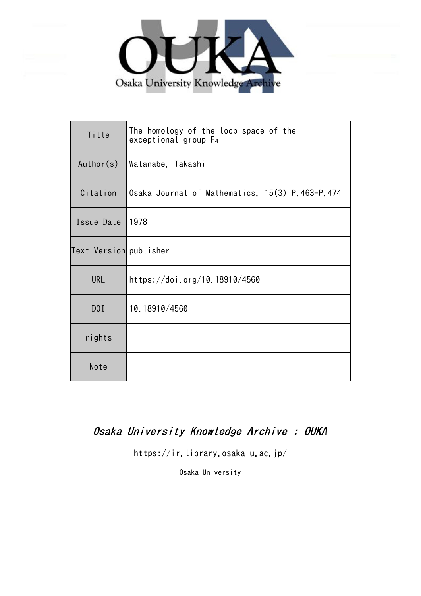

| Title                  | The homology of the loop space of the<br>exceptional group $F_4$ |
|------------------------|------------------------------------------------------------------|
| Author(s)              | Watanabe, Takashi                                                |
| Citation               | Osaka Journal of Mathematics. 15(3) P.463-P.474                  |
| Issue Date             | 1978                                                             |
| Text Version publisher |                                                                  |
| <b>URL</b>             | https://doi.org/10.18910/4560                                    |
| DOI                    | 10.18910/4560                                                    |
| rights                 |                                                                  |
| Note                   |                                                                  |

# Osaka University Knowledge Archive : OUKA

https://ir.library.osaka-u.ac.jp/

Osaka University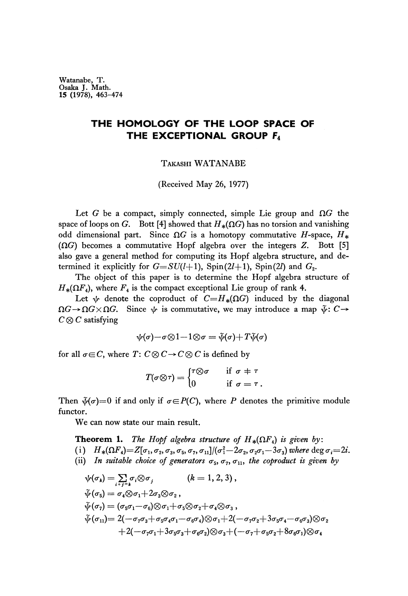**Watanabe, T. Osaka J. Math. 15 (1978), 463-474**

## **THE HOMOLOGY OF THE LOOP SPACE OF THE EXCEPTIONAL GROUP F<sup>4</sup>**

TAKASHI WATANABE

### (Received May 26, 1977)

Let G be a compact, simply connected, simple Lie group and  $\Omega G$  the space of loops on G. Bott [4] showed that  $H_*(\Omega G)$  has no torsion and vanishing odd dimensional part. Since  $\Omega G$  is a homotopy commutative H-space,  $H_*$  $(\Omega G)$  becomes a commutative Hopf algebra over the integers Z. Bott [5] also gave a general method for computing its Hopf algebra structure, and de termined it explicitly for  $G = SU(l+1)$ , Spin(2l+1), Spin(2l) and  $G_2$ .

The object of this paper is to determine the Hopf algebra structure of  $H_*(\Omega F_4)$ , where  $F_4$  is the compact exceptional Lie group of rank 4.

Let  $\psi$  denote the coproduct of  $C=H_*(\Omega G)$  induced by the diagonal *ΩG*→*ΩGxΩG*. Since  $\psi$  is commutative, we may introduce a map  $\tilde{\psi}$ : C→ *C®C* satisfying

$$
\psi(\sigma)-\sigma\!\otimes\!1\!-\!1\!\otimes\!\sigma=\tilde{\psi}(\sigma)\!+\!T\tilde{\psi}(\sigma)
$$

for all  $\sigma \in C$ , where  $T: C \otimes C \rightarrow C \otimes C$  is defined by

$$
T(\sigma \otimes \tau) = \begin{cases} \tau \otimes \sigma & \text{if } \sigma \neq \tau \\ 0 & \text{if } \sigma = \tau \,. \end{cases}
$$

Then  $\tilde{\psi}(\sigma)=0$  if and only if  $\sigma \in P(C)$ , where *P* denotes the primitive module functor.

We can now state our main result.

**Theorem 1.** The Hopf algebra structure of  $H_*(\Omega F_4)$  is given by:  $(i)$   $H_*(\Omega F_4) = Z[\sigma_1, \sigma_2, \sigma_3, \sigma_5, \sigma_7, \sigma_{11}]/(\sigma_1^2 - 2\sigma_2, \sigma_2\sigma_1 - 3\sigma_3)$  where  $\deg \sigma_i = 2i$ . (ii) In suitable choice of generators  $\sigma_5$ ,  $\sigma_7$ ,  $\sigma_{11}$ , the coproduct is given by

$$
\psi(\sigma_k) = \sum_{i+j=k} \sigma_i \otimes \sigma_j \qquad (k = 1, 2, 3),
$$
  
\n
$$
\tilde{\psi}(\sigma_5) = \sigma_4 \otimes \sigma_1 + 2\sigma_3 \otimes \sigma_2,
$$
  
\n
$$
\tilde{\psi}(\sigma_7) = (\sigma_5 \sigma_1 - \sigma_6) \otimes \sigma_1 + \sigma_5 \otimes \sigma_2 + \sigma_4 \otimes \sigma_3,
$$
  
\n
$$
\tilde{\psi}(\sigma_{11}) = 2(-\sigma_7 \sigma_3 + \sigma_5 \sigma_4 \sigma_1 - \sigma_6 \sigma_4) \otimes \sigma_1 + 2(-\sigma_7 \sigma_2 + 3\sigma_5 \sigma_4 - \sigma_6 \sigma_3) \otimes \sigma_2
$$
  
\n
$$
+ 2(-\sigma_7 \sigma_1 + 3\sigma_5 \sigma_3 + \sigma_6 \sigma_2) \otimes \sigma_3 + (-\sigma_7 + \sigma_5 \sigma_2 + 8\sigma_6 \sigma_1) \otimes \sigma_4
$$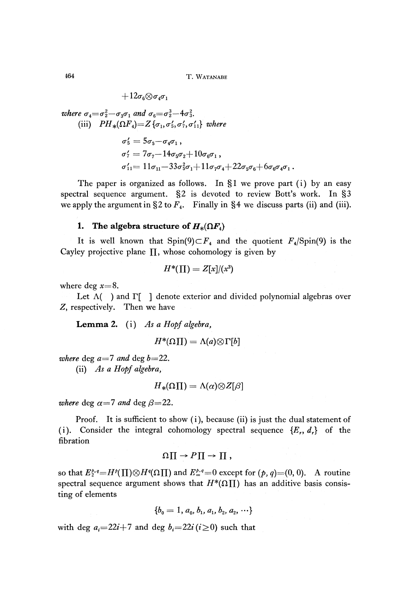$+12\sigma_6{\mathord{ \otimes } } \sigma_4\sigma_1$ 

where 
$$
\sigma_4 = \sigma_2^2 - \sigma_3 \sigma_1
$$
 and  $\sigma_6 = \sigma_2^3 - 4\sigma_3^2$ .  
\n(iii)  $PH_*(\Omega F_4) = Z \{\sigma_1, \sigma_5', \sigma_7', \sigma_{11}'\}$  where  
\n $\sigma_5' = 5\sigma_5 - \sigma_4 \sigma_1$ ,  
\n $\sigma_7' = 7\sigma_7 - 14\sigma_5 \sigma_2 + 10\sigma_6 \sigma_1$ ,  
\n $\sigma_{11}' = 11\sigma_{11} - 33\sigma_5^2 \sigma_1 + 11\sigma_7 \sigma_4 + 22\sigma_5 \sigma_6 + 6\sigma_6 \sigma_4 \sigma_1$ .

The paper is organized as follows. In §1 we prove part (i) by an easy spectral sequence argument. §2 is devoted to review Bott's work. In §3 we apply the argument in  $\S 2$  to  $F_4$ . Finally in  $\S 4$  we discuss parts (ii) and (iii).

## **1.** The algebra structure of  $H_*(\Omega F_4)$

It is well known that  $Spin(9) \subset F_4$  and the quotient  $F_4$ /Spin(9) is the Cayley projective plane  $\Pi$ , whose cohomology is given by

$$
H^*(\Pi)=Z[x]/(x^3)
$$

where deg *x=8.*

Let  $\Lambda$ ( ) and  $\Gamma$ [ ] denote exterior and divided polynomial algebras over *Z,* respectively. Then we have

**Lemma** 2. (i) *As a Hopf algebra,*

$$
H^*(\Omega\Pi)=\Lambda(a)\otimes\Gamma[b]
$$

*where* deg  $a=7$  and deg  $b=22$ . (ii) *As a Hopf algebra,*

$$
{H}_{\ast}(\Omega \Pi)=\Lambda(\alpha)\bar{\otimes}Z[\beta]
$$

*where* deg  $\alpha=7$  and deg  $\beta=22$ .

Proof. It is sufficient to show (i), because (ii) is just the dual statement of (i). Consider the integral cohomology spectral sequence  $\{E_r, d_r\}$  of the fibration

$$
\Omega \prod \rightarrow P \prod \rightarrow \prod ,
$$

so that  $E_2^{p,q} = H^p(\Pi) \otimes H^q(\Omega \Pi)$  and  $E_{\infty}^{p,q} = 0$  except for  $(p, q) = (0, 0)$ . A routine spectral sequence argument shows that  $H^*(\Omega \Pi)$  has an additive basis consisting of elements

$$
\{b_0=1, a_0, b_1, a_1, b_2, a_2, \cdots\}
$$

with deg  $a_i=22i+7$  and deg  $b_i=22i(i\geq 0)$  such that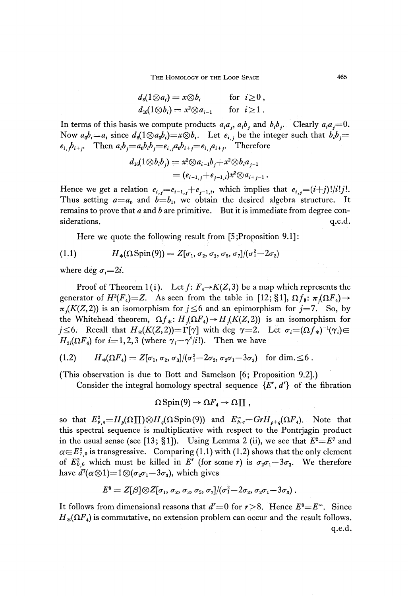THE HOMOLOGY OF THE LOOP SPACE 465

$$
d_8(1 \otimes a_i) = x \otimes b_i \quad \text{for } i \geq 0, d_{16}(1 \otimes b_i) = x^2 \otimes a_{i-1} \quad \text{for } i \geq 1.
$$

In terms of this basis we compute products  $a_i a_j$ ,  $a_i b_j$  and  $b_i b_j$ . Clearly  $a_i a_j = 0$ . Now  $a_0b_i = a_i$  since  $d_8(1 \otimes a_0b_i) = x \otimes b_i$ . Let  $e_{i,j}$  be the integer such that  $b_ib_j =$  $e_{i,j}b_{i+j}$ . Then  $a_ib_j=a_0b_ib_j=e_{i,j}a_ib_{i+j}=e_{i,j}a_{i+j}$ . Therefore

$$
d_{16}(1\otimes b_ib_j)=x^2\otimes a_{i-1}b_j+x^2\otimes b_ia_{j-1}\\=(e_{i-1,j}+e_{i-1,i})x^2\otimes a_{i+j-1}\,.
$$

Hence we get a relation  $e_{i,j} = e_{i-1,j} + e_{j-1,i}$ , which implies that  $e_{i,j} = (i+j)!\ell!j!$ . Thus setting  $a=a_0$  and  $b=b_1$ , we obtain the desired algebra structure. It remains to prove that *a* and *b* are primitive. But it is immediate from degree con siderations.  $q.e.d.$ 

Here we quote the following result from [5; Proposition 9.1]:

$$
(1.1) \tH_*(\Omega \text{Spin}(9)) = Z[\sigma_1, \sigma_2, \sigma_3, \sigma_5, \sigma_7]/(\sigma_1^2 - 2\sigma_2)
$$

where deg  $\sigma_i = 2i$ .

Proof of Theorem  $1(i)$ . Let  $f: F_4 \rightarrow K(Z, 3)$  be a map which represents the generator of  $H^3(F_4) = Z$ . As seen from the table in [12; §1],  $\Omega f_*$ :  $\pi_j(\Omega F_4) \rightarrow$  $\pi_i(K(Z,2))$  is an isomorphism for  $j \leq 6$  and an epimorphism for  $j=7$ . So, by the Whitehead theorem,  $\Omega f_*: H_i(\Omega F_4) \to H_i(K(Z,2))$  is an isomorphism for  $j \leq 6$ . Recall that  $H_*(K(Z,2)) = \Gamma[\gamma]$  with deg  $\gamma = 2$ . Let  $\sigma_i = (\Omega f_*)^{-1}(\gamma_i) \in$  $H_{2i}(\Omega F_4)$  for  $i=1,2,3$  (where  $\gamma_i = \gamma^i/i!$ ). Then we have

$$
(1.2) \tH*(\Omega F4) = Z[\sigma1, \sigma2, \sigma3]/(\sigma12 - 2\sigma2, \sigma2\sigma1 - 3\sigma3) for dim. \leq 6.
$$

(This observation is due to Bott and Samelson [6; Proposition 9.2].)

Consider the integral homology spectral sequence *{E<sup>r</sup> , d<sup>r</sup> }* of the fibration

$$
\Omega\operatorname{Spin}(9)\to\Omega F_4\to\Omega\prod\,,
$$

so that  $E^2_{\rho,q} = H_p(\Omega \prod) \otimes H_q(\Omega \operatorname{Spin}(9))$  and  $E^{\infty}_{\rho,q} = Gr H_{p+q}(\Omega F_4)$ . Note that this spectral sequence is multiplicative with respect to the Pontrjagin product in the usual sense (see [13; §1]). Using Lemma 2 (ii), we see that  $E^2 = E^7$  and  $\alpha \in E_{7,0}^2$  is transgressive. Comparing (1.1) with (1.2) shows that the only element of  $E_{0,6}^2$  which must be killed in E<sup>*r*</sup> (for some *r*) is  $\sigma_2\sigma_1-3\sigma_3$ . We therefore have  $d^7(\alpha \otimes 1) = 1 \otimes (\sigma_2 \sigma_1 - 3 \sigma_3)$ , which gives

$$
E^8=Z[\beta]\otimes Z[\sigma_1,\,\sigma_2,\,\sigma_3,\,\sigma_5,\,\sigma_7]/(\sigma_1^2\!-\!2\sigma_2,\,\sigma_2\sigma_1\!-\!3\sigma_3)\,.
$$

It follows from dimensional reasons that  $d' = 0$  for  $r \ge 8$ . Hence  $E^8 = E^{\infty}$ . Since  $H_*(\Omega F_4)$  is commutative, no extension problem can occur and the result follows. q.e.d.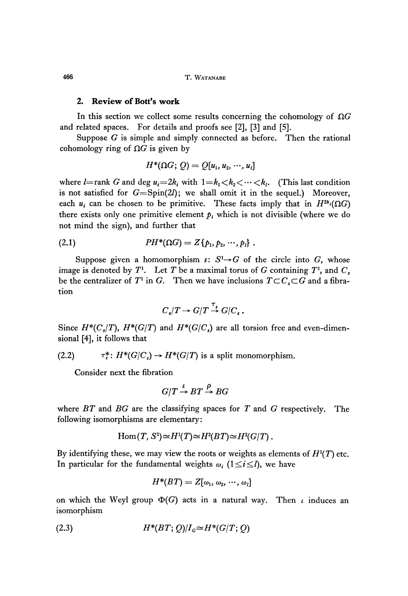**466 T. WATANABE**

### **2. Review of Bott's work**

In this section we collect some results concerning the cohomology of *ΩG* and related spaces. For details and proofs see [2], [3] and [5],

Suppose *G* is simple and simply connected as before. Then the rational cohomology ring of  $\Omega G$  is given by

$$
H^*(\Omega G; Q) = Q[u_1, u_2, \cdots, u_l]
$$

where  $l$ =rank G and deg  $u_i$ =2 $k_i$  with  $1 = k_1 < k_2 < \cdots < k_l$ . (This last condition is not satisfied for  $G = Spin(2l)$ ; we shall omit it in the sequel.) Moreover, each  $u_i$  can be chosen to be primitive. These facts imply that in  $H^{2k_i}(\Omega G)$ there exists only one primitive element  $p_i$  which is not divisible (where we do not mind the sign), and further that

(2.1) 
$$
PH^*(\Omega G) = Z\{p_1, p_2, \cdots, p_l\}.
$$

Suppose given a homomorphism  $s: S<sup>1</sup>\rightarrow G$  of the circle into G, whose image is denoted by  $T^1$ . Let  $T$  be a maximal torus of  $G$  containing  $T^1$ , and  $C_s$ be the centralizer of  $T^1$  in *G*. Then we have inclusions  $T \subset C_s \subset G$  and a fibration

$$
C_s/T \to G/T \stackrel{\tau_s}{\to} G/C_s.
$$

Since  $H^*(C_s/T)$ ,  $H^*(G/T)$  and  $H^*(G/C_s)$  are all torsion free and even-dimen sional [4], it follows that

(2.2)  $\tau^*_s: H^*(G/C_s) \to H^*(G/T)$  is a split monomorphism.

Consider next the fibration

$$
G/T \xrightarrow{\iota} BT \xrightarrow{\rho} BG
$$

where *BT* and *BG* are the classifying spaces for *T* and *G* respectively. The following isomorphisms are elementary:

$$
\mathrm{Hom}(T, S^1)\!\simeq\!H^1(T)\!\simeq\!H^2(BT)\!\simeq\!H^2(G/T)\,.
$$

By identifying these, we may view the roots or weights as elements of  $H<sup>1</sup>(T)$  etc. In particular for the fundamental weights  $\omega_i$  ( $1 \le i \le l$ ), we have

$$
H^*\!(BT) = Z[\omega_1,\,\omega_2,\,\cdots,\,\omega_l]
$$

on which the Weyl group *Φ(G)* acts in a natural way. Then *ι* induces an isomorphism

$$
(2.3) \tH^*(BT;Q)/IG \simeq H^*(G/T;Q)
$$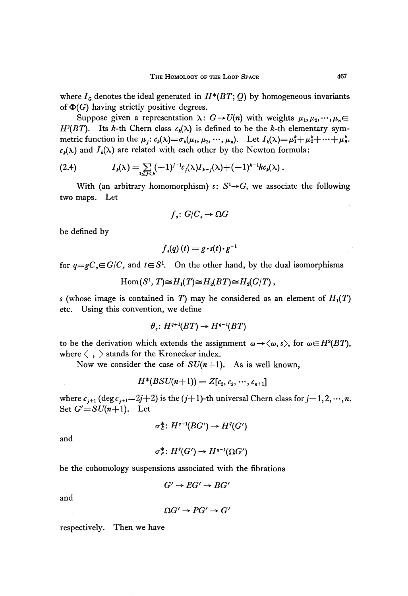Suppose given a representation  $\lambda: G \rightarrow U(n)$  with weights  $\mu_1, \mu_2, \cdots, \mu_n \in$ *H*<sup>2</sup>(*BT*). Its *k*-th Chern class  $c_k(\lambda)$  is defined to be the *k*-th elementary sym metric function in the  $\mu_j: c_k(\lambda) = \sigma_k(\mu_1, \mu_2, \dots, \mu_n)$ . Let  $I_k(\lambda) = \mu_1^k + \mu_2^k + \dots + \mu_n^k$ .  $c_k(\lambda)$  and  $J_k(\lambda)$  are related with each other by the Newton formula:

(2.4) 
$$
I_k(\lambda) = \sum_{1 \leq j < k} (-1)^{j-1} c_j(\lambda) I_{k-j}(\lambda) + (-1)^{k-1} k c_k(\lambda).
$$

With (an arbitrary homomorphism)  $s: S^1 \rightarrow G$ , we associate the following two maps. Let

$$
f_s: G/C_s \to \Omega G
$$

be defined by

$$
f_s(q)(t) = g \cdot s(t) \cdot g^{-1}
$$

for  $q = gC_s \in G/C_s$  and  $t \in S^1$ . On the other hand, by the dual isomorphisms

$$
\mathrm{Hom}(S^1,T)\!\simeq\!H_1(T)\!\simeq\!H_2(BT)\!\simeq\!H_2(G/T)\,,
$$

*s* (whose image is contained in *T*) may be considered as an element of  $H_1(T)$ etc. Using this convention, we define

$$
\theta_s\colon H^{q+1}(BT)\to H^{q-1}(BT)
$$

to be the derivation which extends the assignment  $\omega \rightarrow \langle \omega, s \rangle$ , for  $\omega \in H^2(BT)$ , where  $\langle , \rangle$  stands for the Kronecker index.

Now we consider the case of  $SU(n+1)$ . As is well known,

$$
H^*(BSU(n+1)) = Z[c_2, c_3, \cdots, c_{n+1}]
$$

where  $c_{i+1}$  (deg  $c_{i+1}$ =2*j*+2) is the (*j*+1)-th universal Chern class for *j*=1,2, ···, *n*. Set  $G' = SU(n+1)$ . Let

$$
\sigma_E^* \colon H^{q+1}(BG') \to H^q(G')
$$

and

$$
\sigma_P^* \colon H^q(G') \to H^{q-1}(\Omega G')
$$

be the cohomology suspensions associated with the fibrations

$$
G' \to EG' \to BG'
$$

and

$$
\Omega G' \to PG' \to G'
$$

respectively. Then we have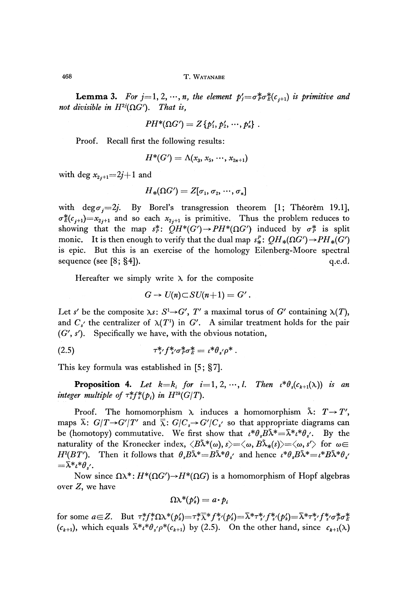468 T. WATANABE

**Lemma 3.** For  $j=1, 2, \dots, n$ , the element  $p'_j=\sigma^*_{p}\sigma^*_{E}(c_{j+1})$  is primitive and *not divisible in*  $H^{2j}(\Omega G')$ . That is,

$$
PH^*(\Omega G') = Z\{p'_1, p'_2, \cdots, p'_n\} .
$$

Proof. Recall first the following results:

$$
H^*(G') = \Lambda(x_3, x_5, \, \cdots, x_{2n+1})
$$

with deg  $x_{2j+1} = 2j+1$  and

$$
{H}_{\ast}(\Omega G')=Z[\sigma_{1},\,\sigma_{2},\,\cdots,\,\sigma_{n}]
$$

with deg $\sigma_i=2j$ . By Borel's transgression theorem [1; Theorem 19.1],  $\sigma_E^*(c_{j+1})=x_{2j+1}$  and so each  $x_{2j+1}$  is primitive. Thus the problem reduces to showing that the map  $s_F^*$ :  $QH^*(G') \to PH^*(\Omega G')$  induced by  $\sigma_F^*$  is split monic. It is then enough to verify that the dual map  $s_x^p$ :  $OH_*(\Omega G') \rightarrow PH_*(G')$ is epic. But this is an exercise of the homology Eilenberg-Moore spectral sequence (see [8;  $\S 4$ ]).  $q.e.d.$ 

Hereafter we simply write  $\lambda$  for the composite

$$
G \to U(n) \subset SU(n+1) = G'.
$$

Let s' be the composite  $\lambda s$ :  $S^1 \rightarrow G'$ ,  $T'$  a maximal torus of  $G'$  containing  $\lambda(T)$ , and  $C_{s'}$  the centralizer of  $\lambda(T^1)$  in G'. A similar treatment holds for the pair *(G', s').* Specifically we have, with the obvious notation,

(2.5) τ\*//\*/σJσf *= t\*θs<p\** .

This key formula was established in [5; §7].

**Proposition 4.** Let  $k=k_i$  for  $i=1, 2, ..., l$ . Then  $\iota^*\theta_s(c_{k+1}(\lambda))$  is an *integer multiple of*  $\tau_s^* f_s^* (p_i)$  *in H*<sup>2k</sup>*(G/T).* 

Proof. The homomorphism  $\lambda$  induces a homomorphism  $\tilde{\lambda}$ :  $T\!\rightarrow\!T',$ maps  $\bar{\lambda}$ :  $G/T \rightarrow G'/T'$  and  $\bar{\bar{\lambda}}$ :  $G/C_s \rightarrow G'/C_{s'}$  so that appropriate diagrams can be (homotopy) commutative. We first show that  $\iota^* \theta_s B \tilde{\lambda}^* = \bar{\lambda}^* \iota^* \theta_{s'}$ . By the naturality of the Kronecker index,  $\langle B\tilde\lambda^*(\omega),s\rangle{=}\langle\omega,B\tilde\lambda_*(s)\rangle{=}\langle\omega,s'\rangle$  for  $\omega{\in}$ *H*<sup>2</sup>(*BT'*). Then it follows that  $\theta_s B\tilde{\lambda}^* = B\tilde{\lambda}^* \theta_s$  and hence  $\iota^* \theta_s B \tilde{\lambda}^* = \iota^* B \tilde{\lambda}^* \theta_s$  $=\bar{\lambda} * \iota * \theta$ .

Now since  $\Omega \lambda^*$ :  $H^*(\Omega G') \rightarrow H^*(\Omega G)$  is a homomorphism of Hopf algebras over Z, we have

$$
\Omega \lambda^*(p'_k) = a \cdot p_i
$$

for some  $a \in Z$ . But  $\tau_s^* f_s^* \Omega \lambda^* (p_s') = \tau_s^* \overline{\lambda}^* f_s^* (p_s') = \lambda^* \tau_s^* f_s^* (p_s') = \lambda^* \tau_s^*$  $(c_{k+1})$ , which equals  $\bar{\lambda}^*i^*\theta_s/\rho^*(c_{k+1})$  by (2.5). On the other hand, since  $c_{k+1}(\lambda)$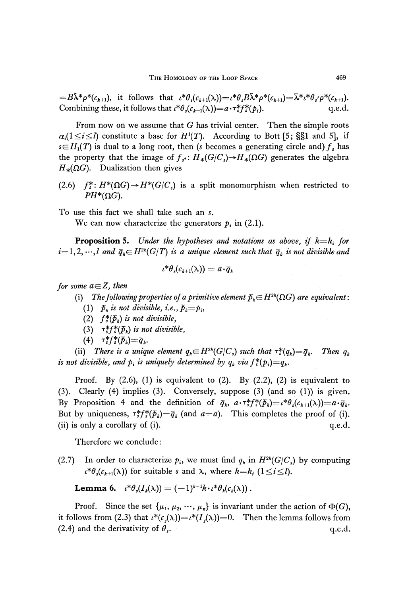$= B\tilde{\lambda}^*\rho^*(c_{k+1}),$  it follows that  $\iota^*\theta_s(c_{k+1}(\lambda)) = \iota^*\theta_s B\tilde{\lambda}^*\rho^*(c_{k+1}) = \overline{\lambda}^*\iota^*\theta_s'\rho^*(c_{k+1}).$ Combining these, it follows that  $\iota^* \theta_s(c_{k+1}(\lambda)) = a \cdot \tau_s^* f_s^*(p_i)$ . q.e.d.

From now on we assume that *G* has trivial center. Then the simple roots  $\alpha_i (1 \leq i \leq l)$  constitute a base for  $H^1(T)$ . According to Bott [5; §§1 and 5], if  $s \in H_1(T)$  is dual to a long root, then *(s* becomes a generating circle and)  $f_s$  has the property that the image of  $f_{s^*}: H_*(G/C_s) {\rightarrow} H_*(\Omega G)$  generates the algebra  $H_*(\Omega G)$ . Dualization then gives

(2.6)  $f^*_s$ :  $H^*(\Omega G) \to H^*(G/C_s)$  is a split monomorphism when restricted to  $PH^*(\Omega G)$ .

To use this fact we shall take such an *s.*

We can now characterize the generators  $p_i$  in (2.1).

**Proposition 5.** *Under the hypotheses and notations as above, if k=k{ for*  $i = 1, 2, \cdots, l$  and  $\overline{q}_k \in H^{2k}(G/T)$  is a unique element such that  $\overline{q}_k$  is not divisible and

$$
\iota^*\theta_{\scriptscriptstyle s}(\mathbf{\mathcal{C}}_{k+1}(\lambda)) = \bar{a}\!\cdot\!\bar{q}_k
$$

*for some*  $a \in Z$ *, then* 

(i) The following properties of a primitive element  $\bar{p}_k{\in}H^{2k}(\Omega G)$  are equivalent:

- (1)  $\bar{p}_k$  *is not divisible, i.e.,*  $\bar{p}_k = p_i$ ,
- (2) *f¥(Pk) is not divisible,*
- (3)  $\tau^*_s f^*_s(\bar{p}_k)$  is not divisible,
- (4)  $\tau^*_{s} f^*_{s}(\bar{p}_k) = \bar{q}_k$ .

(ii) There is a unique element  $q_k \in H^{2k}(G/C_s)$  such that  $\tau_s^*(q_k) = \overline{q}_k$ . Then  $q_k$ is not divisible, and  $p_i$  is uniquely determined by  $q_k$  via  $f^*(p_i) {=} q_k$ 

Proof. By  $(2.6)$ ,  $(1)$  is equivalent to  $(2)$ . By  $(2.2)$ ,  $(2)$  is equivalent to (3). Clearly (4) implies (3). Conversely, suppose (3) (and so (1)) is given. By Proposition 4 and the definition of  $\bar{q}_k$ ,  $a \cdot \tau_s^* f_s^* (\bar{p}_k) = \iota^* \theta_s (c_{k+1}(\lambda)) = a \cdot \bar{q}_k$ . But by uniqueness,  $\tau_s^* f_s^* (\bar{p}_k) = \bar{q}_k$  (and  $a = \bar{a}$ ). This completes the proof of (i). (ii) is only a corollary of (i).  $q.e.d.$ 

Therefore we conclude:

(2.7) In order to characterize  $p_i$ , we must find  $q_k$  in  $H^{2k}(G/C_s)$  by computing  $\lambda^* \theta_s(c_{k+1}(\lambda))$  for suitable *s* and  $\lambda$ , where  $k=k_i$  (1 ≤*i* ≤*l*).

**Lemma 6.**  $\iota^*\theta_s(I_k(\lambda)) = (-1)^{k-1}k \cdot \iota^*\theta_k(c_k(\lambda))$ .

Proof. Since the set  $\{\mu_1, \mu_2, \dots, \mu_n\}$  is invariant under the action of  $\Phi(G)$ , it follows from (2.3) that  $\iota^*(c_i(\lambda)) = \iota^*(I_i(\lambda)) = 0$ . Then the lemma follows from (2.4) and the derivativity of  $\theta_s$ . *.* q.e.d.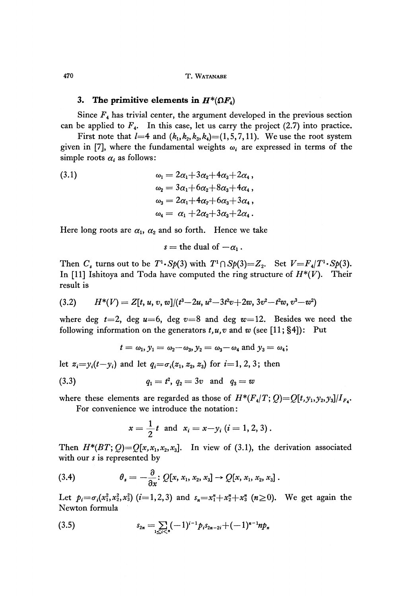#### **3.** The primitive elements in  $H^*(\Omega F_4)$

Since *F<sup>4</sup>* has trivial center, the argument developed in the previous section can be applied to  $F_4$ . In this case, let us carry the project (2.7) into practice.

First note that  $l=4$  and  $(k_1,k_2,k_3,k_4)=(1,5,7,11)$ . We use the root system given in [7], where the fundamental weights  $\omega_i$  are expressed in terms of the simple roots  $\alpha_i$  as follows:

(3.1) 
$$
\omega_1 = 2\alpha_1 + 3\alpha_2 + 4\alpha_3 + 2\alpha_4 ,
$$

$$
\omega_2 = 3\alpha_1 + 6\alpha_2 + 8\alpha_3 + 4\alpha_4 ,
$$

$$
\omega_3 = 2\alpha_1 + 4\alpha_2 + 6\alpha_3 + 3\alpha_4 ,
$$

$$
\omega_4 = \alpha_1 + 2\alpha_2 + 3\alpha_3 + 2\alpha_4 .
$$

Here long roots are  $\alpha_1$ ,  $\alpha_2$  and so forth. Hence we take

$$
s = \text{the dual of } -\alpha_1.
$$

Then  $C_s$  turns out to be  $T^1 \cdot Sp(3)$  with  $T^1 \cap Sp(3)=Z_2$ . Set  $V = F_4/T^1 \cdot Sp(3)$ . In [11] Ishitoya and Toda have computed the ring structure of  $H^*(V)$ . Their result is

$$
(3.2) \qquad H^*(V) = Z[t, u, v, w]/(t^3 - 2u, u^2 - 3t^2v + 2w, 3v^2 - t^2w, v^3 - w^2)
$$

where deg  $t=2$ , deg  $u=6$ , deg  $v=8$  and deg  $w=12$ . Besides we need the following information on the generators  $t, u, v$  and  $w$  (see [11; §4]): Put

$$
t=\omega_1, y_1=\omega_2-\omega_3, y_2=\omega_3-\omega_4 \text{ and } y_3=\omega_4;
$$

let  $z_i = y_i(t-y_i)$  and let  $q_i = \sigma_i(z_1, z_2, z_3)$  for  $i=1, 2, 3$ ; then

(3.3) 
$$
q_1 = t^2, q_2 = 3v \text{ and } q_3 = w
$$

where these elements are regarded as those of  $H^*(F_4/T; Q) = Q[t, y_1, y_2, y_3]/I_{F_4}$ . For convenience we introduce the notation:

$$
x=\frac{1}{2}t \text{ and } x_i=x-y_i \ (i=1,2,3).
$$

Then  $H^*(BT;Q) = Q[x, x_1, x_2, x_3]$ . In view of (3.1), the derivation associated with our *s* is represented by

(3.4) 
$$
\theta_s = -\frac{\partial}{\partial x} : Q[x, x_1, x_2, x_3] \to Q[x, x_1, x_2, x_3].
$$

Let  $p_i = \sigma_i(x_1^2, x_2^2, x_3^2)$  ( $i=1,2,3$ ) and  $s_n = x_1^n + x_2^n + x_3^n$  ( $n \ge 0$ ). We get again the Newton formula

(3.5) 
$$
s_{2n} = \sum_{1 \leq i < n} (-1)^{i-1} p_i s_{2n-2i} + (-1)^{n-1} n p_n
$$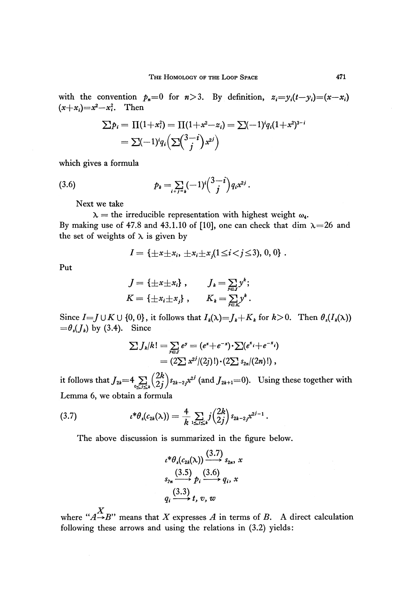with the convention  $p_n=0$  for  $n>3$ . By definition,  $z_i=y_i(t-y_i)=(x-x_i)$  $(x+x_i)=x^2-x_i^2$ . Then

$$
\sum p_i = \Pi(1+x_i^2) = \Pi(1+x^2-z_i) = \sum (-1)^i q_i (1+x^2)^{3-i}
$$
  
=  $\sum (-1)^i q_i \left(\sum \binom{3-i}{j} x^{2j}\right)$ 

which gives a formula

(3.6) 
$$
p_k = \sum_{i+j=k} (-1)^i \binom{3-i}{j} q_i x^{2j}.
$$

Next we take

 $\mu =$  the irreducible representation with highest weight  $\omega_4$ . By making use of 47.8 and 43.1.10 of [10], one can check that dim  $\lambda = 26$  and the set of weights of  $\lambda$  is given by

$$
I = \{\pm x \pm x_i, \ \pm x_i \pm x_j (1 \leq i < j \leq 3), \ 0, \ 0\} \ .
$$

Put

$$
J = \{\pm x \pm x_i\}, \qquad J_k = \sum_{j \in J} y^k;
$$
  

$$
K = \{\pm x_i \pm x_j\}, \qquad K_k = \sum_{j \in K} y^k.
$$

Since  $I = J \cup K \cup \{0, 0\}$ , it follows that  $I_k(\lambda) = J_k + K_k$  for  $k > 0$ . Then  $\theta_s(I_k(\lambda))$  $=\theta_s(f_k)$  by (3.4). Since

$$
\sum J_k/k! = \sum_{y \in J} e^y = (e^x + e^{-x}) \cdot \sum (e^x + e^{-x})
$$
  
=  $(2\sum x^{2j}/(2j)!) \cdot (2\sum s_{2n}/(2n)!)$ ,

 $\int_{\mathbb{R}^k} \left( \frac{2\kappa}{2j} \right) s_{2k-2j} x^{2j}$  (and  $J_{2k+1} = 0$ ). Using these together with Lemma 6, we obtain a formula

$$
(3.7) \t\t t^*\theta_s(c_{2k}(\lambda))=\frac{4}{k}\sum_{1\leq j\leq k}j\binom{2k}{2j}s_{2k-2j}x^{2j-1}.
$$

The above discussion is summarized in the figure below.

$$
\iota^*\theta_s(c_{2k}(\lambda)) \xrightarrow{(3.7)} s_{2n}, x
$$
  
\n
$$
s_{2n} \xrightarrow{(3.5)} p_i \xrightarrow{(3.6)} q_i, x
$$
  
\n
$$
q_i \xrightarrow{(3.3)} t, v, w
$$

*X* where *"A-+B"* means that *X* expresses *A* in terms of *B.* A direct calculation following these arrows and using the relations in (3.2) yields: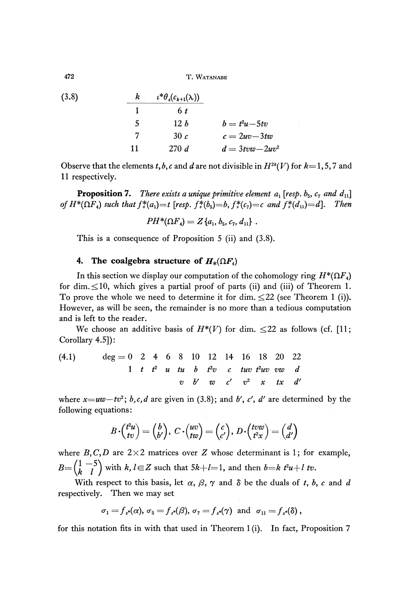T. WATANABE

(3.8)  
\n
$$
\begin{array}{cccc}\n & k & t^* \theta_s(c_{k+1}(\lambda)) \\
1 & 6 \ t \\
5 & 12 \ b & b = t^2 u - 5tv \\
7 & 30 \ c & c = 2uv - 3tw \\
11 & 270 \ d & d = 3tvw - 2uv^2\n\end{array}
$$

Observe that the elements  $t, b, c$  and  $d$  are not divisible in  $H^{2k}(V)$  for  $k=1, 5, 7$  and 11 respectively.

**Proposition 7.** There exists a unique primitive element  $a_1$  [resp.  $b_5$ ,  $c_7$  and  $d_{11}$ ] *of*  $H^*(\Omega F_4)$  such that  $f^*(a_1) = t$  [resp.  $f^*(b_5) = b$ ,  $f^*(c_7) = c$  and  $f^*(d_{11}) = d$ ]. Then

$$
PH^*(\Omega F_4)=Z\{a_1,b_5,c_7,d_{11}\}.
$$

This is a consequence of Proposition 5 (ii) and (3.8).

## **4.** The coalgebra structure of  $H_*(\Omega F_4)$

In this section we display our computation of the cohomology ring  $H^*(\Omega F_4)$ for dim.  $\leq 10$ , which gives a partial proof of parts (ii) and (iii) of Theorem 1. To prove the whole we need to determine it for dim.  $\leq 22$  (see Theorem 1 (i)). However, as will be seen, the remainder is no more than a tedious computation and is left to the reader.

We choose an additive basis of  $H^*(V)$  for dim.  $\leq 22$  as follows (cf. [11; Corollary 4.5]):

(4.1) 
$$
\deg = 0 \quad 2 \quad 4 \quad 6 \quad 8 \quad 10 \quad 12 \quad 14 \quad 16 \quad 18 \quad 20 \quad 22
$$

$$
1 \quad t \quad t^2 \quad u \quad tu \quad b \quad t^2v \quad c \quad tuv \quad t^2uv \quad vw \quad d
$$

$$
v \quad b' \quad w \quad c' \quad v^2 \quad x \quad tx \quad d'
$$

where  $x = uv - tv^2$ ; *b,c,d* are given in (3.8); and *b*<sup>*f*</sup>, *c*<sup>*f*</sup>, *d*<sup>*'*</sup> are determined by the following equations:

$$
B\cdot \binom{t^2u}{tv} = \binom{b}{b'},\ C\cdot \binom{uv}{tw} = \binom{c}{c'},\ D\cdot \binom{tvw}{t^2x} = \binom{d}{d'}
$$

where  $B, C, D$  are  $2 \times 2$  matrices over *Z* whose determinant is 1; for example,  $B = \begin{pmatrix} 1 & -5 \\ b & 1 \end{pmatrix}$  with  $k, l \in \mathbb{Z}$  such that  $5k+l=1$ , and then  $b=k l^2u+l$  tv.

With respect to this basis, let  $\alpha$ ,  $\beta$ ,  $\gamma$  and  $\delta$  be the duals of *t*, *b*, *c* and *d* respectively. Then we may set

$$
\sigma_1 = f_{s^*}(\alpha), \sigma_5 = f_{s^*}(\beta), \sigma_7 = f_{s^*}(\gamma) \text{ and } \sigma_{11} = f_{s^*}(\delta),
$$

for this notation fits in with that used in Theorem 1(i). In fact, Proposition 7

**472**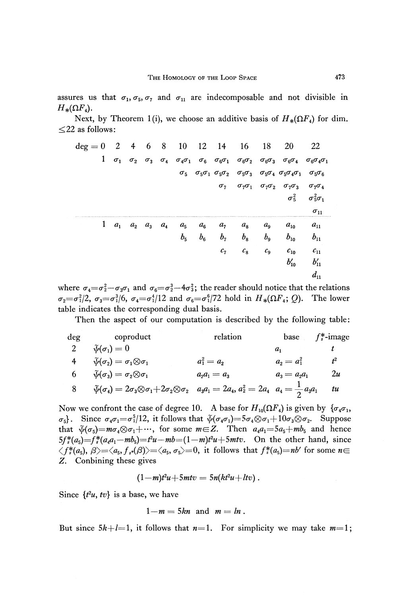assures us that  $\sigma_1$ ,  $\sigma_5$ ,  $\sigma_7$  and  $\sigma_{11}$  are indecomposable and not divisible in  $H_*(\Omega F_4).$ 

Next, by Theorem 1(i), we choose an additive basis of  $H_*(\Omega F_4)$  for dim.  $\leq$  22 as follows:

| $\deg = 0$ | $\overline{2}$ | $\overline{4}$          | $6\overline{6}$ |         |                            | 8 10 12 14     | 16          | 18             | 20                                                                                                                                                                                                                    | 22                                |
|------------|----------------|-------------------------|-----------------|---------|----------------------------|----------------|-------------|----------------|-----------------------------------------------------------------------------------------------------------------------------------------------------------------------------------------------------------------------|-----------------------------------|
|            |                |                         |                 |         |                            |                |             |                | $1\quad \sigma_1\quad \sigma_2\quad \sigma_3\quad \sigma_4\quad \sigma_4\sigma_1\quad \sigma_6\quad \sigma_6\sigma_1\quad \sigma_6\sigma_2\quad \sigma_6\sigma_3\quad \sigma_6\sigma_4\quad \sigma_6\sigma_4\sigma_1$ |                                   |
|            |                |                         |                 |         |                            |                |             |                | $\sigma_5$ $\sigma_5\sigma_1$ $\sigma_5\sigma_2$ $\sigma_5\sigma_3$ $\sigma_5\sigma_4$ $\sigma_5\sigma_4\sigma_1$                                                                                                     | $\sigma_{5}\sigma_{6}$            |
|            |                |                         |                 |         |                            |                |             |                | $\sigma_7$ $\sigma_7\sigma_1$ $\sigma_7\sigma_2$ $\sigma_7\sigma_3$                                                                                                                                                   | $\sigma_7\sigma_4$                |
|            |                |                         |                 |         |                            |                |             |                |                                                                                                                                                                                                                       | $\sigma_5^2$ $\sigma_5^2\sigma_1$ |
|            |                |                         |                 |         |                            |                |             |                |                                                                                                                                                                                                                       | $\sigma_{11}$                     |
| 1          |                | $a_1$ $a_2$ $a_3$ $a_4$ |                 | $a_5$   | $a_{6}$                    | a <sub>7</sub> | $a_{8}$     | $a_{9}$        | $a_{10}$                                                                                                                                                                                                              | $a_{11}$                          |
|            |                |                         |                 | $b_{5}$ | $b_{\scriptscriptstyle 6}$ | $b_7$          | $b_{\rm s}$ | b <sub>9</sub> | $b_{10}$                                                                                                                                                                                                              | $b_{11}$                          |
|            |                |                         |                 |         |                            | c <sub>7</sub> | $c_{8}$     | $c_{9}$        | $c_{10}$                                                                                                                                                                                                              | $c_{11}$                          |
|            |                |                         |                 |         |                            |                |             |                | $b_{10}'$                                                                                                                                                                                                             | $b'_{11}$                         |
|            |                |                         |                 |         |                            |                |             |                |                                                                                                                                                                                                                       | $d_{11}$                          |

where  $\sigma_4 = \sigma_2^2 - \sigma_3\sigma_1$  and  $\sigma_6 = \sigma_2^3 - 4\sigma_3^2;$  the reader should notice that the relations  $\sigma_2 = \sigma_1^2/2$ ,  $\sigma_3 = \sigma_1^3/6$ ,  $\sigma_4 = \sigma_1^4/12$  and  $\sigma_6 = \sigma_1^6/72$  hold in  $H_*(\Omega F_4; Q)$ . The lower table indicates the corresponding dual basis.

Then the aspect of our computation is described by the following table:

| deg coproduct                                                                                                                                        | relation       |                 | base $f_*^*$ -image |
|------------------------------------------------------------------------------------------------------------------------------------------------------|----------------|-----------------|---------------------|
| $\widetilde{\psi}(\sigma_{1})=0$                                                                                                                     |                |                 |                     |
| $\widetilde{\psi}(\sigma_{2})=\sigma_{1}\!\otimes\!\sigma_{1}$                                                                                       | $a_1^2 = a_2$  | $a_2 = a_1^2$   | $t^2$               |
| $\widetilde{\psi}(\sigma_3) = \sigma_2{\otimes} \sigma_1.$                                                                                           | $a_2a_1 = a_3$ | $a_3 = a_2 a_1$ | 2u                  |
| $\tilde{\psi}(\sigma_4) = 2\sigma_3 \otimes \sigma_1 + 2\sigma_2 \otimes \sigma_2 \quad a_3 a_1 = 2a_4, a_2^2 = 2a_4 \quad a_4 = \frac{1}{2}a_3 a_1$ |                |                 | $t\mathcal{u}$      |

Now we confront the case of degree 10. A base for  $H_{10}(\Omega F_4)$  is given by  $\{\sigma_4\sigma_1,$  $\mathcal{F}_{5}$ . Since  $\sigma_4\sigma_1 = \sigma_1^5/12$ , it follows that  $\tilde{\psi}(\sigma_4\sigma_1) = 5\sigma_4\otimes \sigma_1 + 10\sigma_3\otimes \sigma_2$ . Suppose that  $\widetilde{\psi}(\sigma_5) = m\sigma_4 \otimes \sigma_1 + \cdots$ , for some  $m \in \mathbb{Z}$ . Then  $a_4a_1 = 5a_5 + mb_5$  and hence  $5f_s^*(a_5) = f_s^*(a_4a_1 - mb_5) = t^2u - mb = (1-m)t^2u + 5mtv$ . On the other hand, since  $\langle f^*(a_5), \beta \rangle = \langle a_5, f_{s^*}(\beta) \rangle = \langle a_5, \sigma_5 \rangle = 0$ , it follows that  $f^*(a_5) = nb'$  for some  $n \in$ Z. Conbining these gives

$$
(1-m)t^2u+5mtv=5n(kt^2u+ltv).
$$

Since  $\{t^2u, tv\}$  is a base, we have

$$
1-m=5kn \text{ and } m=ln.
$$

But since  $5k+l=1$ , it follows that  $n=1$ . For simplicity we may take  $m=1$ ;